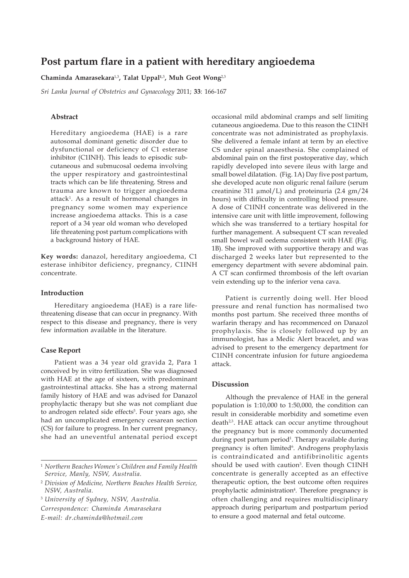# **Post partum flare in a patient with hereditary angioedema**

**Chaminda Amarasekara**1,3**, Talat Uppal1,**<sup>3</sup> **, Muh Geot Wong**2,3

*Sri Lanka Journal of Obstetrics and Gynaecology* 2011; **33**: 166-167

## **Abstract**

Hereditary angioedema (HAE) is a rare autosomal dominant genetic disorder due to dysfunctional or deficiency of C1 esterase inhibitor (C1INH). This leads to episodic subcutaneous and submucosal oedema involving the upper respiratory and gastrointestinal tracts which can be life threatening. Stress and trauma are known to trigger angioedema attack1 . As a result of hormonal changes in pregnancy some women may experience increase angioedema attacks. This is a case report of a 34 year old woman who developed life threatening post partum complications with a background history of HAE.

**Key words:** danazol, hereditary angioedema, C1 esterase inhibitor deficiency, pregnancy, C1INH concentrate.

## **Introduction**

Hereditary angioedema (HAE) is a rare lifethreatening disease that can occur in pregnancy. With respect to this disease and pregnancy, there is very few information available in the literature.

#### **Case Report**

Patient was a 34 year old gravida 2, Para 1 conceived by in vitro fertilization. She was diagnosed with HAE at the age of sixteen, with predominant gastrointestinal attacks. She has a strong maternal family history of HAE and was advised for Danazol prophylactic therapy but she was not compliant due to androgen related side effects<sup>5</sup>. Four years ago, she had an uncomplicated emergency cesarean section (CS) for failure to progress. In her current pregnancy, she had an uneventful antenatal period except

*E-mail: dr.chaminda@hotmail.com*

occasional mild abdominal cramps and self limiting cutaneous angioedema. Due to this reason the C1INH concentrate was not administrated as prophylaxis. She delivered a female infant at term by an elective CS under spinal anaesthesia. She complained of abdominal pain on the first postoperative day, which rapidly developed into severe ileus with large and small bowel dilatation. (Fig. 1A) Day five post partum, she developed acute non oliguric renal failure (serum creatinine 311 μmol/L) and proteinuria (2.4 gm/24 hours) with difficulty in controlling blood pressure. A dose of C1INH concentrate was delivered in the intensive care unit with little improvement, following which she was transferred to a tertiary hospital for further management. A subsequent CT scan revealed small bowel wall oedema consistent with HAE (Fig. 1B). She improved with supportive therapy and was discharged 2 weeks later but represented to the emergency department with severe abdominal pain. A CT scan confirmed thrombosis of the left ovarian vein extending up to the inferior vena cava.

Patient is currently doing well. Her blood pressure and renal function has normalised two months post partum. She received three months of warfarin therapy and has recommenced on Danazol prophylaxis. She is closely followed up by an immunologist, has a Medic Alert bracelet, and was advised to present to the emergency department for C1INH concentrate infusion for future angioedema attack.

### **Discussion**

Although the prevalence of HAE in the general population is 1:10,000 to 1:50,000, the condition can result in considerable morbidity and sometime even death<sup>2,3</sup>. HAE attack can occur anytime throughout the pregnancy but is more commonly documented during post partum period<sup>1</sup>. Therapy available during pregnancy is often limited<sup>6</sup>. Androgens prophylaxis is contraindicated and antifibrinolitic agents should be used with caution<sup>3</sup>. Even though C1INH concentrate is generally accepted as an effective therapeutic option, the best outcome often requires prophylactic administration<sup>4</sup>. Therefore pregnancy is often challenging and requires multidisciplinary approach during peripartum and postpartum period to ensure a good maternal and fetal outcome.

<sup>1</sup> *Northern Beaches Women's Children and Family Health Service, Manly, NSW, Australia.*

<sup>2</sup> *Division of Medicine, Northern Beaches Health Service, NSW, Australia.*

<sup>3</sup> *University of Sydney, NSW, Australia. Correspondence: Chaminda Amarasekara*